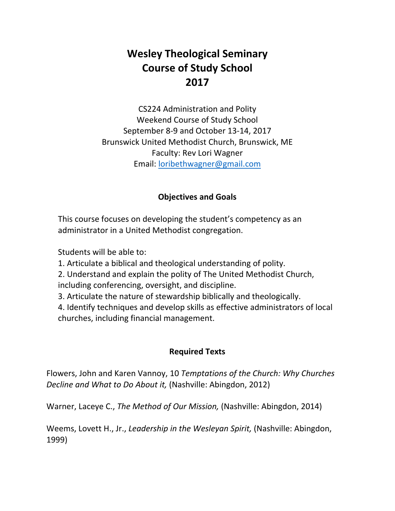# **Wesley Theological Seminary Course of Study School 2017**

CS224 Administration and Polity Weekend Course of Study School September 8‐9 and October 13‐14, 2017 Brunswick United Methodist Church, Brunswick, ME Faculty: Rev Lori Wagner Email: loribethwagner@gmail.com

#### **Objectives and Goals**

This course focuses on developing the student's competency as an administrator in a United Methodist congregation.

Students will be able to:

1. Articulate a biblical and theological understanding of polity.

2. Understand and explain the polity of The United Methodist Church, including conferencing, oversight, and discipline.

3. Articulate the nature of stewardship biblically and theologically.

4. Identify techniques and develop skills as effective administrators of local churches, including financial management.

#### **Required Texts**

Flowers, John and Karen Vannoy, 10 *Temptations of the Church: Why Churches Decline and What to Do About it,* (Nashville: Abingdon, 2012)

Warner, Laceye C., *The Method of Our Mission,* (Nashville: Abingdon, 2014)

Weems, Lovett H., Jr., *Leadership in the Wesleyan Spirit,* (Nashville: Abingdon, 1999)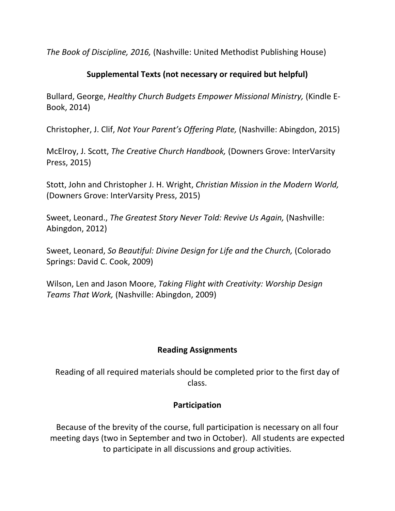*The Book of Discipline, 2016,* (Nashville: United Methodist Publishing House)

## **Supplemental Texts (not necessary or required but helpful)**

Bullard, George, *Healthy Church Budgets Empower Missional Ministry,* (Kindle E‐ Book, 2014)

Christopher, J. Clif, *Not Your Parent's Offering Plate,* (Nashville: Abingdon, 2015)

McElroy, J. Scott, *The Creative Church Handbook,* (Downers Grove: InterVarsity Press, 2015)

Stott, John and Christopher J. H. Wright, *Christian Mission in the Modern World,* (Downers Grove: InterVarsity Press, 2015)

Sweet, Leonard., *The Greatest Story Never Told: Revive Us Again,* (Nashville: Abingdon, 2012)

Sweet, Leonard, *So Beautiful: Divine Design for Life and the Church,* (Colorado Springs: David C. Cook, 2009)

Wilson, Len and Jason Moore, *Taking Flight with Creativity: Worship Design Teams That Work,* (Nashville: Abingdon, 2009)

## **Reading Assignments**

Reading of all required materials should be completed prior to the first day of class.

## **Participation**

Because of the brevity of the course, full participation is necessary on all four meeting days (two in September and two in October). All students are expected to participate in all discussions and group activities.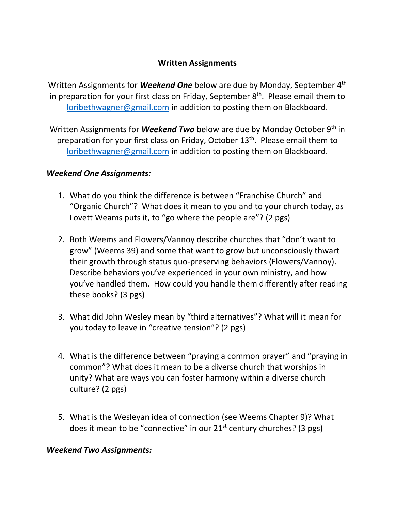## **Written Assignments**

Written Assignments for *Weekend One* below are due by Monday, September 4th in preparation for your first class on Friday, September  $8<sup>th</sup>$ . Please email them to loribethwagner@gmail.com in addition to posting them on Blackboard.

Written Assignments for *Weekend Two* below are due by Monday October 9th in preparation for your first class on Friday, October 13<sup>th</sup>. Please email them to loribethwagner@gmail.com in addition to posting them on Blackboard.

#### *Weekend One Assignments:*

- 1. What do you think the difference is between "Franchise Church" and "Organic Church"? What does it mean to you and to your church today, as Lovett Weams puts it, to "go where the people are"? (2 pgs)
- 2. Both Weems and Flowers/Vannoy describe churches that "don't want to grow" (Weems 39) and some that want to grow but unconsciously thwart their growth through status quo‐preserving behaviors (Flowers/Vannoy). Describe behaviors you've experienced in your own ministry, and how you've handled them. How could you handle them differently after reading these books? (3 pgs)
- 3. What did John Wesley mean by "third alternatives"? What will it mean for you today to leave in "creative tension"? (2 pgs)
- 4. What is the difference between "praying a common prayer" and "praying in common"? What does it mean to be a diverse church that worships in unity? What are ways you can foster harmony within a diverse church culture? (2 pgs)
- 5. What is the Wesleyan idea of connection (see Weems Chapter 9)? What does it mean to be "connective" in our 21<sup>st</sup> century churches? (3 pgs)

## *Weekend Two Assignments:*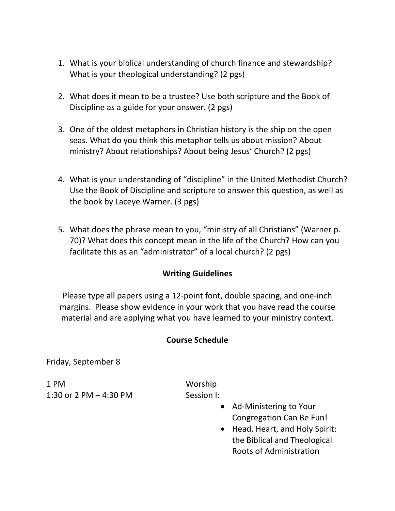- 1. What is your biblical understanding of church finance and stewardship? What is your theological understanding? (2 pgs)
- 2. What does it mean to be a trustee? Use both scripture and the Book of Discipline as a guide for your answer. (2 pgs)
- 3. One of the oldest metaphors in Christian history is the ship on the open seas. What do you think this metaphor tells us about mission? About ministry? About relationships? About being Jesus' Church? (2 pgs)
- 4. What is your understanding of "discipline" in the United Methodist Church? Use the Book of Discipline and scripture to answer this question, as well as the book by Laceye Warner. (3 pgs)
- 5. What does the phrase mean to you, "ministry of all Christians" (Warner p. 70)? What does this concept mean in the life of the Church? How can you facilitate this as an "administrator" of a local church? (2 pgs)

## **Writing Guidelines**

Please type all papers using a 12‐point font, double spacing, and one‐inch margins. Please show evidence in your work that you have read the course material and are applying what you have learned to your ministry context.

#### **Course Schedule**

Friday, September 8

1 PM Worship 1:30 or 2 PM – 4:30 PM  $\sim$  Session I:

- Ad-Ministering to Your Congregation Can Be Fun!
- Head, Heart, and Holy Spirit: the Biblical and Theological Roots of Administration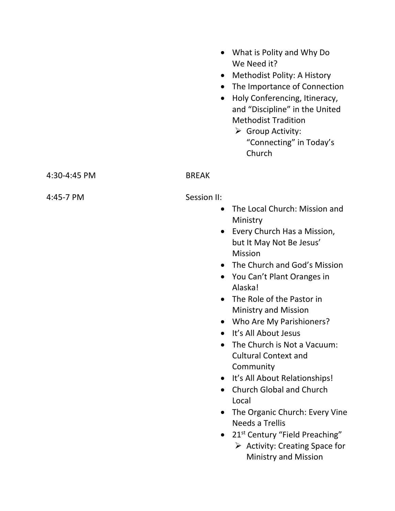|              | $\bullet$<br>$\bullet$<br>$\bullet$ | • What is Polity and Why Do<br>We Need it?<br>Methodist Polity: A History<br>The Importance of Connection<br>Holy Conferencing, Itineracy,<br>and "Discipline" in the United<br><b>Methodist Tradition</b><br>$\triangleright$ Group Activity:<br>"Connecting" in Today's<br>Church |
|--------------|-------------------------------------|-------------------------------------------------------------------------------------------------------------------------------------------------------------------------------------------------------------------------------------------------------------------------------------|
| 4:30-4:45 PM | <b>BREAK</b>                        |                                                                                                                                                                                                                                                                                     |
| 4:45-7 PM    | Session II:<br>$\bullet$            | The Local Church: Mission and<br>Ministry                                                                                                                                                                                                                                           |

- Every Church Has a Mission, but It May Not Be Jesus' Mission
- The Church and God's Mission
- You Can't Plant Oranges in Alaska!
- The Role of the Pastor in Ministry and Mission
- Who Are My Parishioners?
- It's All About Jesus
- The Church is Not a Vacuum: Cultural Context and **Community**
- It's All About Relationships!
- Church Global and Church Local
- The Organic Church: Every Vine Needs a Trellis
- 21<sup>st</sup> Century "Field Preaching"
	- $\triangleright$  Activity: Creating Space for Ministry and Mission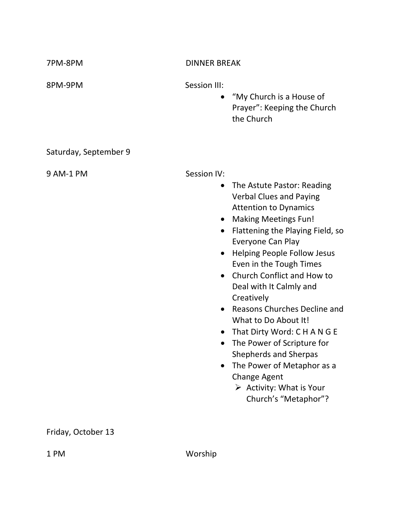| 7PM-8PM               | <b>DINNER BREAK</b>                                                                                                                                                                                                                                                                                                                                                                                                                                                                                                                                                                                                                                                             |  |
|-----------------------|---------------------------------------------------------------------------------------------------------------------------------------------------------------------------------------------------------------------------------------------------------------------------------------------------------------------------------------------------------------------------------------------------------------------------------------------------------------------------------------------------------------------------------------------------------------------------------------------------------------------------------------------------------------------------------|--|
| 8PM-9PM               | Session III:<br>"My Church is a House of<br>$\bullet$<br>Prayer": Keeping the Church<br>the Church                                                                                                                                                                                                                                                                                                                                                                                                                                                                                                                                                                              |  |
| Saturday, September 9 |                                                                                                                                                                                                                                                                                                                                                                                                                                                                                                                                                                                                                                                                                 |  |
| 9 AM-1 PM             | Session IV:<br>The Astute Pastor: Reading<br>$\bullet$<br><b>Verbal Clues and Paying</b><br><b>Attention to Dynamics</b><br><b>Making Meetings Fun!</b><br>$\bullet$<br>Flattening the Playing Field, so<br>$\bullet$<br>Everyone Can Play<br><b>Helping People Follow Jesus</b><br>Even in the Tough Times<br>Church Conflict and How to<br>$\bullet$<br>Deal with It Calmly and<br>Creatively<br><b>Reasons Churches Decline and</b><br>What to Do About It!<br>That Dirty Word: CHANGE<br>The Power of Scripture for<br><b>Shepherds and Sherpas</b><br>The Power of Metaphor as a<br><b>Change Agent</b><br>$\triangleright$ Activity: What is Your<br>Church's "Metaphor"? |  |
| Friday, October 13    |                                                                                                                                                                                                                                                                                                                                                                                                                                                                                                                                                                                                                                                                                 |  |

1 PM Worship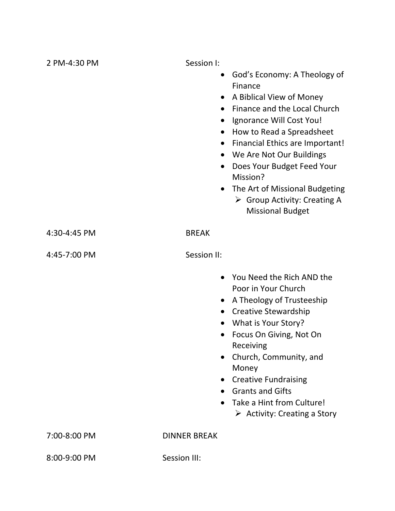| 2 PM-4:30 PM | Session I:<br>$\bullet$<br>$\bullet$<br>$\bullet$<br>$\bullet$<br>$\bullet$<br>$\bullet$<br>$\bullet$<br>$\bullet$<br>$\bullet$ | God's Economy: A Theology of<br>Finance<br>A Biblical View of Money<br>Finance and the Local Church<br>Ignorance Will Cost You!<br>How to Read a Spreadsheet<br><b>Financial Ethics are Important!</b><br>We Are Not Our Buildings<br>Does Your Budget Feed Your<br>Mission?<br>The Art of Missional Budgeting<br>$\triangleright$ Group Activity: Creating A<br><b>Missional Budget</b> |
|--------------|---------------------------------------------------------------------------------------------------------------------------------|------------------------------------------------------------------------------------------------------------------------------------------------------------------------------------------------------------------------------------------------------------------------------------------------------------------------------------------------------------------------------------------|
| 4:30-4:45 PM | <b>BREAK</b>                                                                                                                    |                                                                                                                                                                                                                                                                                                                                                                                          |
| 4:45-7:00 PM | Session II:                                                                                                                     |                                                                                                                                                                                                                                                                                                                                                                                          |
|              | $\bullet$<br>$\bullet$<br>$\bullet$                                                                                             | You Need the Rich AND the<br>Poor in Your Church<br>A Theology of Trusteeship<br><b>Creative Stewardship</b><br>What is Your Story?<br>Focus On Giving, Not On<br>Receiving<br>Church, Community, and<br>Money<br>• Creative Fundraising<br><b>Grants and Gifts</b><br>Take a Hint from Culture!<br>$\triangleright$ Activity: Creating a Story                                          |
| 7:00-8:00 PM | <b>DINNER BREAK</b>                                                                                                             |                                                                                                                                                                                                                                                                                                                                                                                          |
| 8:00-9:00 PM | Session III:                                                                                                                    |                                                                                                                                                                                                                                                                                                                                                                                          |